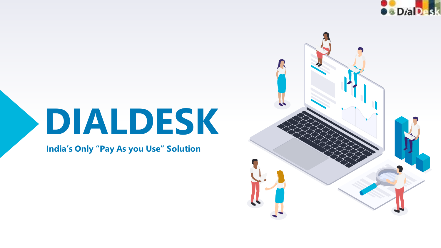



# **DIALDESK**

**India's Only "Pay As you Use" Solution**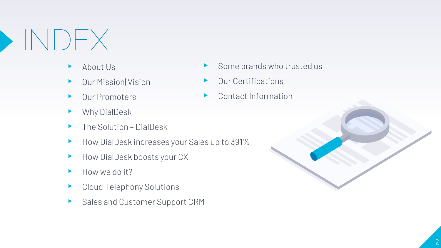# INDEX

- ▸ About Us
- ▶ Our Mission Vision
- Our Promoters
- ▸ Why DialDesk
- ▸ The Solution DialDesk
- ▸ How DialDesk increases your Sales up to 391%
- ▶ How DialDesk boosts your CX
- ▸ How we do it?
- ▸ Cloud Telephony Solutions
- ▶ Sales and Customer Support CRM
- Some brands who trusted us
- **Our Certifications**
- Contact Information

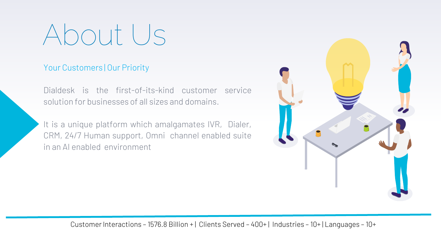About Us

#### Your Customers | Our Priority

Dialdesk is the first-of-its-kind customer service solution for businesses of all sizes and domains.

It is a unique platform which amalgamates IVR, Dialer, CRM, 24/7 Human support, Omni channel enabled suite in an AI enabled environment



Customer Interactions – 1576.8 Billion + | Clients Served – 400+ | Industries – 10+ | Languages – 10+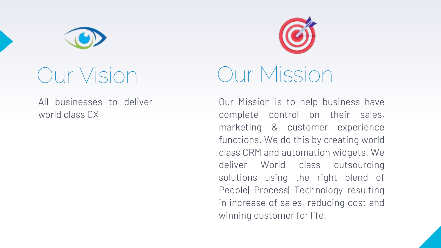



### Our Vision

All businesses to deliver world class CX

### Our Mission

Our Mission is to help business have complete control on their sales, marketing & customer experience functions. We do this by creating world class CRM and automation widgets. We deliver World class outsourcing solutions using the right blend of People| Process| Technology resulting in increase of sales, reducing cost and winning customer for life.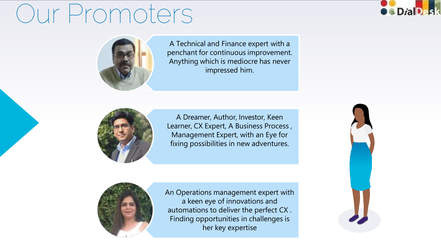## Our Promoters



A Technical and Finance expert with a penchant for continuous improvement. Anything which is mediocre has never impressed him.



A Dreamer, Author, Investor, Keen Learner, CX Expert, A Business Process , Management Expert, with an Eye for fixing possibilities in new adventures.



An Operations management expert with a keen eye of innovations and automations to deliver the perfect CX . Finding opportunities in challenges is her key expertise

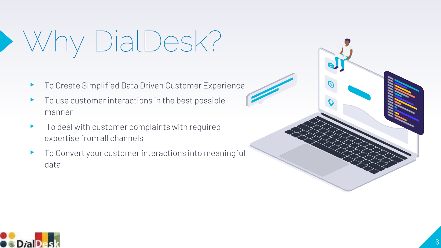# Why DialDesk?

- ▸ To Create Simplified Data Driven Customer Experience
- ▸ To use customer interactions in the best possible manner
- ▸ To deal with customer complaints with required expertise from all channels
- ▸ To Convert your customer interactions into meaningful data



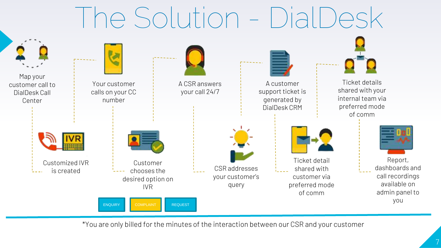## The Solution - DialDesk



\*You are only billed for the minutes of the interaction between our CSR and your customer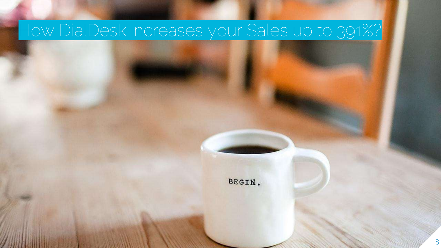### How DialDesk increases your Sales up to 391%?

BEGIN.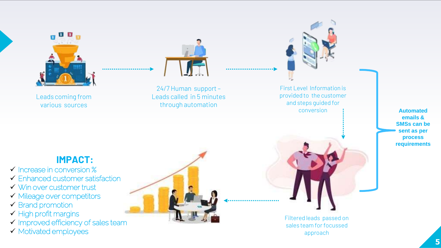

Leads coming from various sources



24/7 Human support – Leads called in 5 minutes through automation

First Level Information is provided to the customer and steps guided for conversion

**Automated emails & SMSs can be sent as per process requirements**

#### **IMPACT:**

- ✓ Increase in conversion %
- $\checkmark$  Enhanced customer satisfaction
- ✓ Win over customer trust
- ✓ Mileage over competitors
- ✓ Brand promotion
- $\checkmark$  High profit margins
- ✓ Improved efficiency of sales team
- ✓ Motivated employees



Filtered leads passed on sales team for focussed approach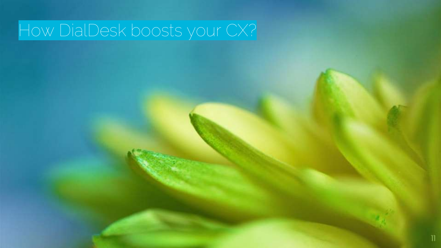### How DialDesk boosts your CX?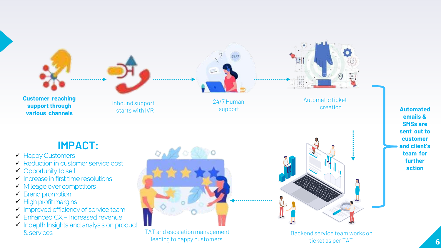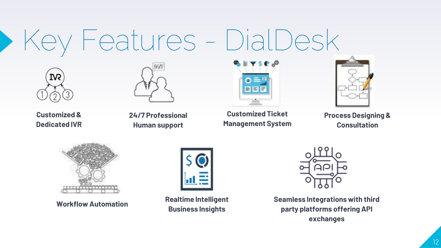# Key Features - DialDesk





**Customized & Dedicated IVR**

**24/7 Professional Human support**

| ۰ |
|---|
|   |
|   |
|   |

**Customized Ticket Management System**



**Process Designing & Consultation**



**Workflow Automation**



**Realtime Intelligent Business Insights**



**Seamless Integrations with third party platforms offering API exchanges**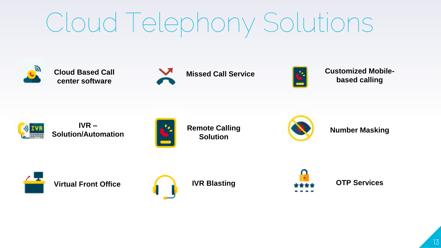# Cloud Telephony Solutions



**Cloud Based Call center software**





**Customized Mobilebased calling**



**IVR – Solution/Automation**



**Remote Calling Solution**



**Number Masking**





**IVR Blasting**



**OTP Services**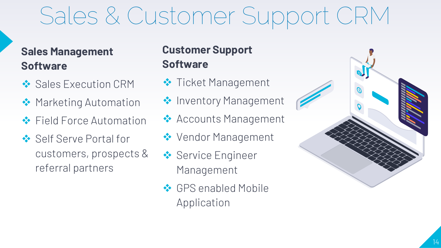## Sales & Customer Support CRM

#### **Sales Management Software**

- **❖** Sales Execution CRM
- **❖** Marketing Automation
- **❖** Field Force Automation
- ❖ Self Serve Portal for customers, prospects & referral partners

#### **Customer Support Software**

- ❖ Ticket Management
- ❖ Inventory Management
- **❖ Accounts Management**
- ❖ Vendor Management
- **❖** Service Engineer Management
- ❖ GPS enabled Mobile Application

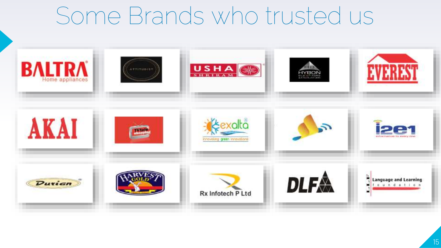### Some Brands who trusted us

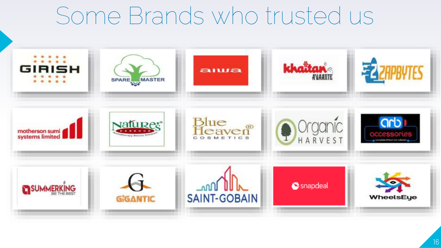### Some Brands who trusted us

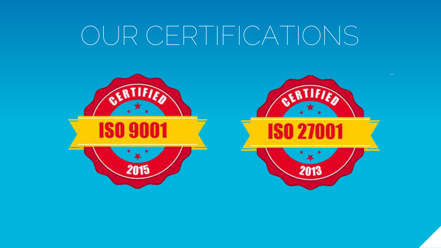## OUR CERTIFICATIONS